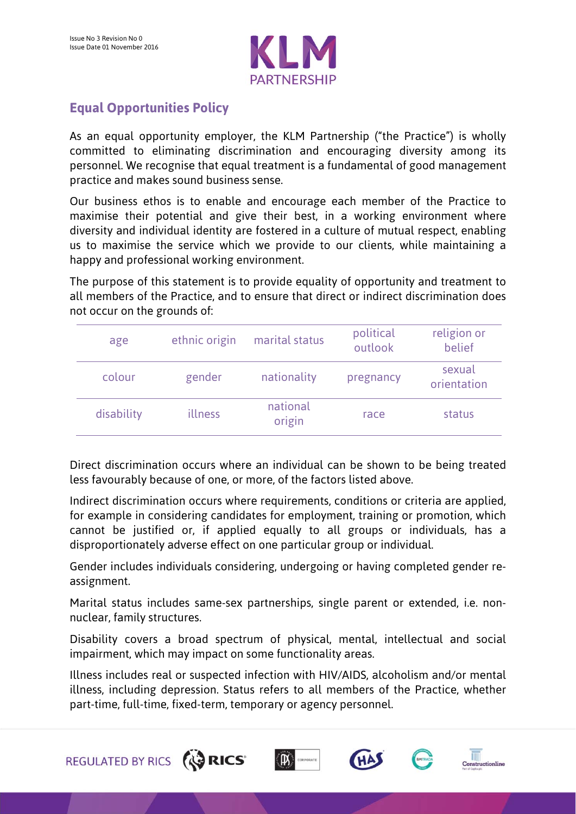

## **Equal Opportunities Policy**

REGULATED BY RICS (CRICS'

As an equal opportunity employer, the KLM Partnership ("the Practice") is wholly committed to eliminating discrimination and encouraging diversity among its personnel. We recognise that equal treatment is a fundamental of good management practice and makes sound business sense.

Our business ethos is to enable and encourage each member of the Practice to maximise their potential and give their best, in a working environment where diversity and individual identity are fostered in a culture of mutual respect, enabling us to maximise the service which we provide to our clients, while maintaining a happy and professional working environment.

The purpose of this statement is to provide equality of opportunity and treatment to all members of the Practice, and to ensure that direct or indirect discrimination does not occur on the grounds of:

| age        | ethnic origin | marital status     | political<br>outlook | religion or<br>belief |
|------------|---------------|--------------------|----------------------|-----------------------|
| colour     | gender        | nationality        | pregnancy            | sexual<br>orientation |
| disability | illness       | national<br>origin | race                 | status                |

Direct discrimination occurs where an individual can be shown to be being treated less favourably because of one, or more, of the factors listed above.

Indirect discrimination occurs where requirements, conditions or criteria are applied, for example in considering candidates for employment, training or promotion, which cannot be justified or, if applied equally to all groups or individuals, has a disproportionately adverse effect on one particular group or individual.

Gender includes individuals considering, undergoing or having completed gender reassignment.

Marital status includes same-sex partnerships, single parent or extended, i.e. nonnuclear, family structures.

Disability covers a broad spectrum of physical, mental, intellectual and social impairment, which may impact on some functionality areas.

Illness includes real or suspected infection with HIV/AIDS, alcoholism and/or mental illness, including depression. Status refers to all members of the Practice, whether part-time, full-time, fixed-term, temporary or agency personnel.

> T Constructionline